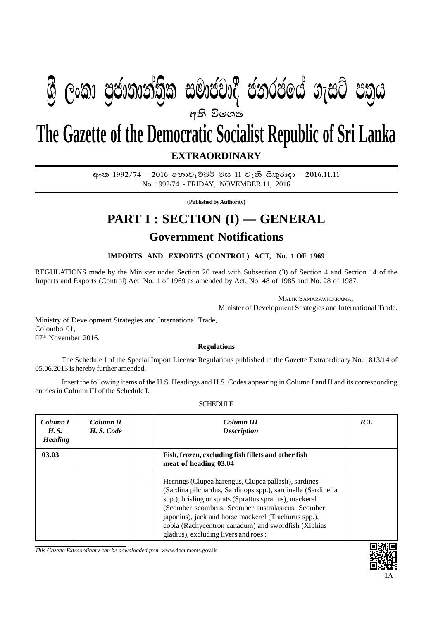# අති වි**ශෙ**ෂ **The Gazette of the Democratic Socialist Republic of Sri Lanka ශී ලංකා පුජාතාන්තික සමාජවාදී ජනරජයේ ගැසට් පතුය**

**EXTRAORDINARY**

අංක 1992/74 - 2016 තොවැම්බර් මස 11 වැනි සිකුරාදා - 2016.11.11 No. 1992/74 - FRIDAY, NOVEMBER 11, 2016

**(Published by Authority)**

## **PART I : SECTION (I) — GENERAL**

### **Government Notifications**

**IMPORTS AND EXPORTS (CONTROL) ACT, No. 1 OF 1969**

REGULATIONS made by the Minister under Section 20 read with Subsection (3) of Section 4 and Section 14 of the Imports and Exports (Control) Act, No. 1 of 1969 as amended by Act, No. 48 of 1985 and No. 28 of 1987.

MALIK SAMARAWICKRAMA,

Minister of Development Strategies and International Trade.

Ministry of Development Strategies and International Trade, Colombo 01, 07<sup>th</sup> November 2016.

#### **Regulations**

The Schedule I of the Special Import License Regulations published in the Gazette Extraordinary No. 1813/14 of 05.06.2013 is hereby further amended.

Insert the following items of the H.S. Headings and H.S. Codes appearing in Column I and II and its corresponding entries in Column III of the Schedule I.

| Column I<br><i>H.S.</i><br><b>Heading</b> | Column <sub>II</sub><br>H.S. Code |                                                                              | Column III<br><b>Description</b>                                                                                                                                                                                                                                                                                                                                                              | <b>ICL</b> |
|-------------------------------------------|-----------------------------------|------------------------------------------------------------------------------|-----------------------------------------------------------------------------------------------------------------------------------------------------------------------------------------------------------------------------------------------------------------------------------------------------------------------------------------------------------------------------------------------|------------|
| 03.03                                     |                                   | Fish, frozen, excluding fish fillets and other fish<br>meat of heading 03.04 |                                                                                                                                                                                                                                                                                                                                                                                               |            |
|                                           |                                   |                                                                              | Herrings (Clupea harengus, Clupea pallasli), sardines<br>(Sardina pilchardus, Sardinops spp.), sardinella (Sardinella<br>spp.), brisling or sprats (Sprattus sprattus), mackerel<br>(Scomber scombrus, Scomber australasicus, Scomber<br>japonius), jack and horse mackerel (Trachurus spp.),<br>cobia (Rachycentron canadum) and swordfish (Xiphias<br>gladius), excluding livers and roes : |            |

#### **SCHEDULE**

*This Gazette Extraordinary can be downloaded from* www.documents.gov.lk